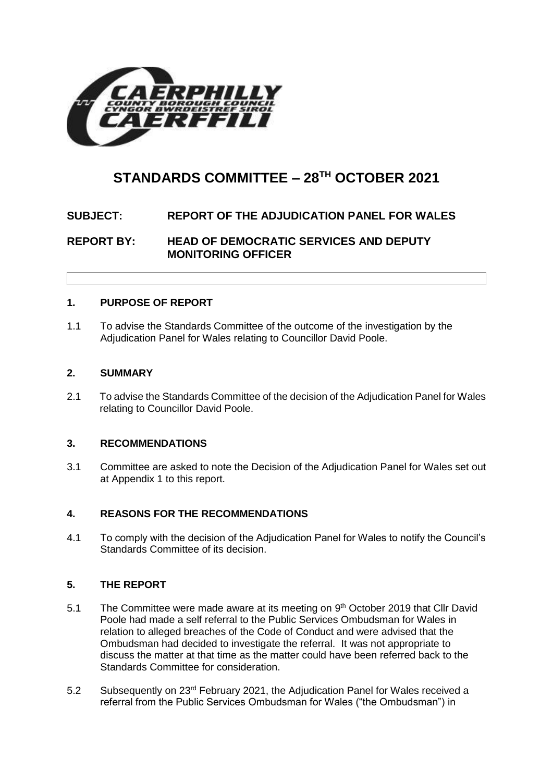

# **STANDARDS COMMITTEE – 28TH OCTOBER 2021**

## **SUBJECT: REPORT OF THE ADJUDICATION PANEL FOR WALES**

**REPORT BY: HEAD OF DEMOCRATIC SERVICES AND DEPUTY MONITORING OFFICER**

## **1. PURPOSE OF REPORT**

1.1 To advise the Standards Committee of the outcome of the investigation by the Adjudication Panel for Wales relating to Councillor David Poole.

## **2. SUMMARY**

2.1 To advise the Standards Committee of the decision of the Adjudication Panel for Wales relating to Councillor David Poole.

## **3. RECOMMENDATIONS**

3.1 Committee are asked to note the Decision of the Adjudication Panel for Wales set out at Appendix 1 to this report.

## **4. REASONS FOR THE RECOMMENDATIONS**

4.1 To comply with the decision of the Adjudication Panel for Wales to notify the Council's Standards Committee of its decision.

## **5. THE REPORT**

- 5.1 The Committee were made aware at its meeting on 9<sup>th</sup> October 2019 that Cllr David Poole had made a self referral to the Public Services Ombudsman for Wales in relation to alleged breaches of the Code of Conduct and were advised that the Ombudsman had decided to investigate the referral. It was not appropriate to discuss the matter at that time as the matter could have been referred back to the Standards Committee for consideration.
- 5.2 Subsequently on 23rd February 2021, the Adjudication Panel for Wales received a referral from the Public Services Ombudsman for Wales ("the Ombudsman") in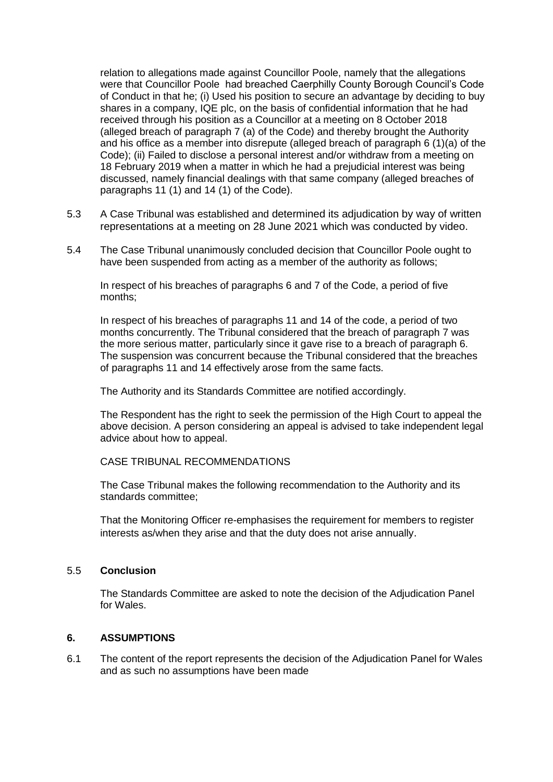relation to allegations made against Councillor Poole, namely that the allegations were that Councillor Poole had breached Caerphilly County Borough Council's Code of Conduct in that he; (i) Used his position to secure an advantage by deciding to buy shares in a company, IQE plc, on the basis of confidential information that he had received through his position as a Councillor at a meeting on 8 October 2018 (alleged breach of paragraph 7 (a) of the Code) and thereby brought the Authority and his office as a member into disrepute (alleged breach of paragraph 6 (1)(a) of the Code); (ii) Failed to disclose a personal interest and/or withdraw from a meeting on 18 February 2019 when a matter in which he had a prejudicial interest was being discussed, namely financial dealings with that same company (alleged breaches of paragraphs 11 (1) and 14 (1) of the Code).

- 5.3 A Case Tribunal was established and determined its adjudication by way of written representations at a meeting on 28 June 2021 which was conducted by video.
- 5.4 The Case Tribunal unanimously concluded decision that Councillor Poole ought to have been suspended from acting as a member of the authority as follows;

In respect of his breaches of paragraphs 6 and 7 of the Code, a period of five months;

In respect of his breaches of paragraphs 11 and 14 of the code, a period of two months concurrently. The Tribunal considered that the breach of paragraph 7 was the more serious matter, particularly since it gave rise to a breach of paragraph 6. The suspension was concurrent because the Tribunal considered that the breaches of paragraphs 11 and 14 effectively arose from the same facts.

The Authority and its Standards Committee are notified accordingly.

The Respondent has the right to seek the permission of the High Court to appeal the above decision. A person considering an appeal is advised to take independent legal advice about how to appeal.

#### CASE TRIBUNAL RECOMMENDATIONS

The Case Tribunal makes the following recommendation to the Authority and its standards committee;

That the Monitoring Officer re-emphasises the requirement for members to register interests as/when they arise and that the duty does not arise annually.

#### 5.5 **Conclusion**

The Standards Committee are asked to note the decision of the Adjudication Panel for Wales.

#### **6. ASSUMPTIONS**

6.1 The content of the report represents the decision of the Adjudication Panel for Wales and as such no assumptions have been made